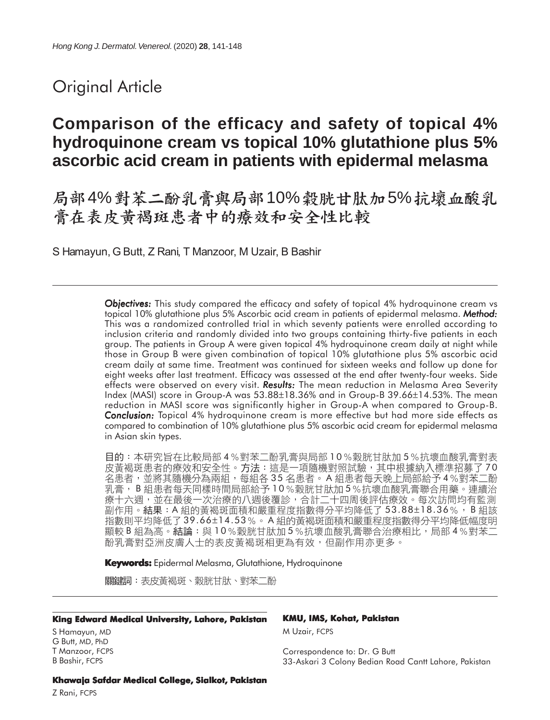# Original Article

# **Comparison of the efficacy and safety of topical 4% hydroquinone cream vs topical 10% glutathione plus 5% ascorbic acid cream in patients with epidermal melasma**

局部4%對苯二酚乳膏與局部10%穀胱甘肽加5%抗壞血酸乳<br>膏在表皮黃褐斑患者中的療效和安全性比較

S Hamayun, G Butt, Z Rani, T Manzoor, M Uzair, B Bashir

*Objectives: Objectives:* This study compared the efficacy and safety of topical 4% hydroquinone cream vs topical 10% glutathione plus 5% Ascorbic acid cream in patients of epidermal melasma. *Method: Method:* This was a randomized controlled trial in which seventy patients were enrolled according to inclusion criteria and randomly divided into two groups containing thirty-five patients in each group. The patients in Group A were given topical 4% hydroquinone cream daily at night while those in Group B were given combination of topical 10% glutathione plus 5% ascorbic acid cream daily at same time. Treatment was continued for sixteen weeks and follow up done for eight weeks after last treatment. Efficacy was assessed at the end after twenty-four weeks. Side effects were observed on every visit. *Results: Results:* The mean reduction in Melasma Area Severity Index (MASI) score in Group-A was 53.88±18.36% and in Group-B 39.66±14.53%. The mean reduction in MASI score was significantly higher in Group-A when compared to Group-B. *Conclusion: Conclusion:* Topical 4% hydroquinone cream is more effective but had more side effects as compared to combination of 10% glutathione plus 5% ascorbic acid cream for epidermal melasma in Asian skin types.

目的:本研究旨在比較局部 4%對苯二酚乳膏與局部 10%穀胱甘肽加 5%抗壞血酸乳膏對表 皮黃褐斑患者的療效和安全性。方法:這是一項隨機對照試驗,其中根據納入標準招募了70 名患者,並將其隨機分為兩組,每組各 35 名患者。 A 組患者每天晚上局部給予 4%對苯二酚 乳膏, B 組患者每天同樣時間局部給予10%穀胱甘肽加5%抗壞血酸乳膏聯合用藥。連續治 療十六週,並在最後一次治療的八週後覆診,合計二十四周後評估療效。每次訪問均有監測 副作用。結果:A 組的黃褐斑面積和嚴重程度指數得分平均降低了 53.88±18.36%,B 組該 指數則平均降低了39.66±14.53%。A組的黃褐斑面積和嚴重程度指數得分平均降低幅度明 顯較 B 組為高。結論:與10%穀胱甘肽加 5%抗壞血酸乳膏聯合治療相比,局部 4%對苯二 酚乳膏對亞洲皮膚人士的表皮黃褐斑相更為有效,但副作用亦更多。

**Keywords:** Epidermal Melasma, Glutathione, Hydroquinone

關鍵詞:表皮黃褐斑、穀胱甘肽、對苯二酚

#### **King Edward Medical University, Lahore, Pakistan**

S Hamayun, MD G Butt, MD, PhD T Manzoor, FCPS B Bashir, FCPS

#### **KMU, IMS, Kohat, Pakistan**

M Uzair, FCPS

Correspondence to: Dr. G Butt 33-Askari 3 Colony Bedian Road Cantt Lahore, Pakistan

**Khawaja Safdar Medical College, Sialkot, Pakistan**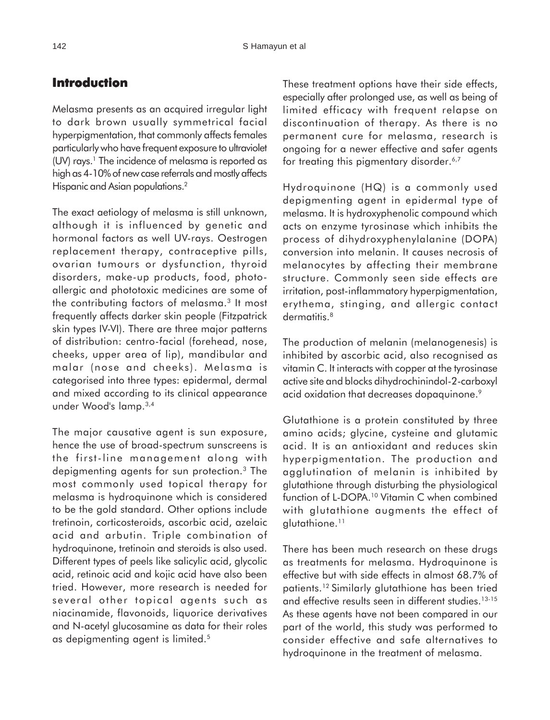## **Introduction**

Melasma presents as an acquired irregular light to dark brown usually symmetrical facial hyperpigmentation, that commonly affects females particularly who have frequent exposure to ultraviolet (UV) rays.<sup>1</sup> The incidence of melasma is reported as high as 4-10% of new case referrals and mostly affects Hispanic and Asian populations.<sup>2</sup>

The exact aetiology of melasma is still unknown, although it is influenced by genetic and hormonal factors as well UV-rays. Oestrogen replacement therapy, contraceptive pills, ovarian tumours or dysfunction, thyroid disorders, make-up products, food, photoallergic and phototoxic medicines are some of the contributing factors of melasma.<sup>3</sup> It most frequently affects darker skin people (Fitzpatrick skin types IV-VI). There are three major patterns of distribution: centro-facial (forehead, nose, cheeks, upper area of lip), mandibular and malar (nose and cheeks). Melasma is categorised into three types: epidermal, dermal and mixed according to its clinical appearance under Wood's lamp.3,4

The major causative agent is sun exposure, hence the use of broad-spectrum sunscreens is the first-line management along with depigmenting agents for sun protection.3 The most commonly used topical therapy for melasma is hydroquinone which is considered to be the gold standard. Other options include tretinoin, corticosteroids, ascorbic acid, azelaic acid and arbutin. Triple combination of hydroquinone, tretinoin and steroids is also used. Different types of peels like salicylic acid, glycolic acid, retinoic acid and kojic acid have also been tried. However, more research is needed for several other topical agents such as niacinamide, flavonoids, liquorice derivatives and N-acetyl glucosamine as data for their roles as depigmenting agent is limited.5

These treatment options have their side effects, especially after prolonged use, as well as being of limited efficacy with frequent relapse on discontinuation of therapy. As there is no permanent cure for melasma, research is ongoing for a newer effective and safer agents for treating this pigmentary disorder.<sup>6,7</sup>

Hydroquinone (HQ) is a commonly used depigmenting agent in epidermal type of melasma. It is hydroxyphenolic compound which acts on enzyme tyrosinase which inhibits the process of dihydroxyphenylalanine (DOPA) conversion into melanin. It causes necrosis of melanocytes by affecting their membrane structure. Commonly seen side effects are irritation, post-inflammatory hyperpigmentation, erythema, stinging, and allergic contact dermatitis.<sup>8</sup>

The production of melanin (melanogenesis) is inhibited by ascorbic acid, also recognised as vitamin C. It interacts with copper at the tyrosinase active site and blocks dihydrochinindol-2-carboxyl acid oxidation that decreases dopaquinone.<sup>9</sup>

Glutathione is a protein constituted by three amino acids; glycine, cysteine and glutamic acid. It is an antioxidant and reduces skin hyperpigmentation. The production and agglutination of melanin is inhibited by glutathione through disturbing the physiological function of L-DOPA.10 Vitamin C when combined with glutathione augments the effect of glutathione.11

There has been much research on these drugs as treatments for melasma. Hydroquinone is effective but with side effects in almost 68.7% of patients.12 Similarly glutathione has been tried and effective results seen in different studies.<sup>13-15</sup> As these agents have not been compared in our part of the world, this study was performed to consider effective and safe alternatives to hydroquinone in the treatment of melasma.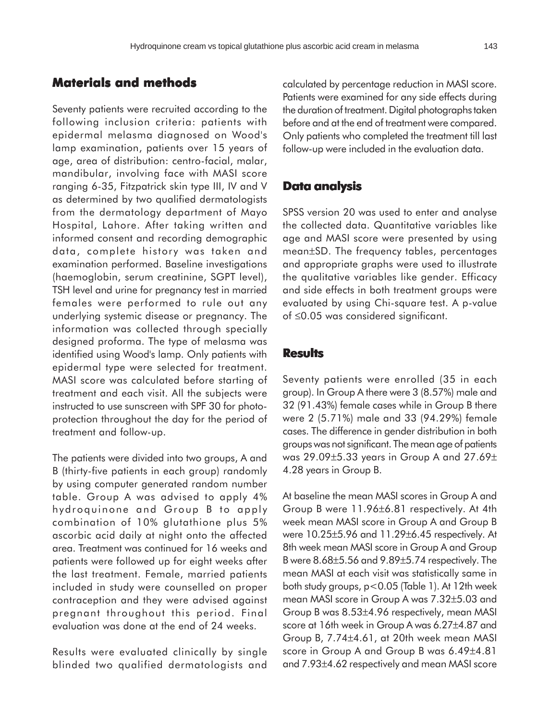## **Materials and methods**

Seventy patients were recruited according to the following inclusion criteria: patients with epidermal melasma diagnosed on Wood's lamp examination, patients over 15 years of age, area of distribution: centro-facial, malar, mandibular, involving face with MASI score ranging 6-35, Fitzpatrick skin type III, IV and V as determined by two qualified dermatologists from the dermatology department of Mayo Hospital, Lahore. After taking written and informed consent and recording demographic data, complete history was taken and examination performed. Baseline investigations (haemoglobin, serum creatinine, SGPT level), TSH level and urine for pregnancy test in married females were performed to rule out any underlying systemic disease or pregnancy. The information was collected through specially designed proforma. The type of melasma was identified using Wood's lamp. Only patients with epidermal type were selected for treatment. MASI score was calculated before starting of treatment and each visit. All the subjects were instructed to use sunscreen with SPF 30 for photoprotection throughout the day for the period of treatment and follow-up.

The patients were divided into two groups, A and B (thirty-five patients in each group) randomly by using computer generated random number table. Group A was advised to apply 4% hydroquinone and Group B to apply combination of 10% glutathione plus 5% ascorbic acid daily at night onto the affected area. Treatment was continued for 16 weeks and patients were followed up for eight weeks after the last treatment. Female, married patients included in study were counselled on proper contraception and they were advised against pregnant throughout this period. Final evaluation was done at the end of 24 weeks.

Results were evaluated clinically by single blinded two qualified dermatologists and calculated by percentage reduction in MASI score. Patients were examined for any side effects during the duration of treatment. Digital photographs taken before and at the end of treatment were compared. Only patients who completed the treatment till last follow-up were included in the evaluation data.

### **Data analysis**

SPSS version 20 was used to enter and analyse the collected data. Quantitative variables like age and MASI score were presented by using mean±SD. The frequency tables, percentages and appropriate graphs were used to illustrate the qualitative variables like gender. Efficacy and side effects in both treatment groups were evaluated by using Chi-square test. A p-value of ≤0.05 was considered significant.

### **Results**

Seventy patients were enrolled (35 in each group). In Group A there were 3 (8.57%) male and 32 (91.43%) female cases while in Group B there were 2 (5.71%) male and 33 (94.29%) female cases. The difference in gender distribution in both groups was not significant. The mean age of patients was 29.09±5.33 years in Group A and 27.69± 4.28 years in Group B.

At baseline the mean MASI scores in Group A and Group B were 11.96±6.81 respectively. At 4th week mean MASI score in Group A and Group B were 10.25±5.96 and 11.29±6.45 respectively. At 8th week mean MASI score in Group A and Group B were 8.68±5.56 and 9.89±5.74 respectively. The mean MASI at each visit was statistically same in both study groups, p<0.05 (Table 1). At 12th week mean MASI score in Group A was 7.32±5.03 and Group B was 8.53±4.96 respectively, mean MASI score at 16th week in Group A was 6.27±4.87 and Group B, 7.74±4.61, at 20th week mean MASI score in Group A and Group B was 6.49±4.81 and 7.93±4.62 respectively and mean MASI score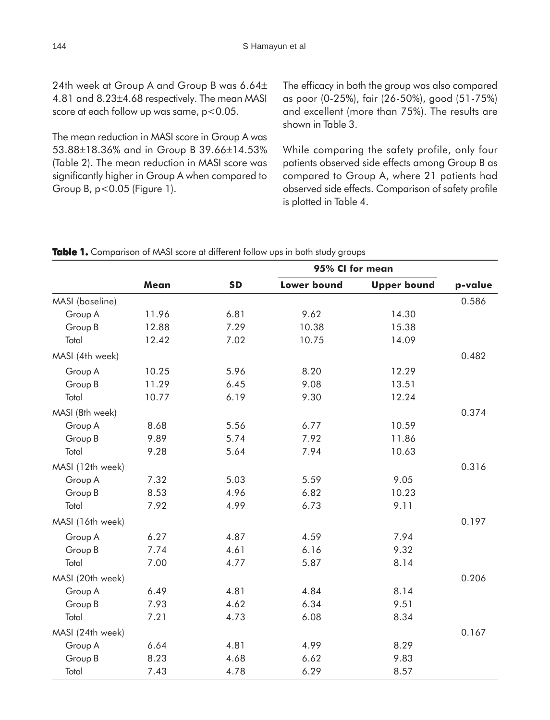24th week at Group A and Group B was 6.64± 4.81 and 8.23±4.68 respectively. The mean MASI score at each follow up was same, p<0.05.

The mean reduction in MASI score in Group A was 53.88±18.36% and in Group B 39.66±14.53% (Table 2). The mean reduction in MASI score was significantly higher in Group A when compared to Group B, p<0.05 (Figure 1).

The efficacy in both the group was also compared as poor (0-25%), fair (26-50%), good (51-75%) and excellent (more than 75%). The results are shown in Table 3.

While comparing the safety profile, only four patients observed side effects among Group B as compared to Group A, where 21 patients had observed side effects. Comparison of safety profile is plotted in Table 4.

|                  |       |           | 95% CI for mean    |                    |         |
|------------------|-------|-----------|--------------------|--------------------|---------|
|                  | Mean  | <b>SD</b> | <b>Lower bound</b> | <b>Upper bound</b> | p-value |
| MASI (baseline)  |       |           |                    |                    | 0.586   |
| Group A          | 11.96 | 6.81      | 9.62               | 14.30              |         |
| Group B          | 12.88 | 7.29      | 10.38              | 15.38              |         |
| Total            | 12.42 | 7.02      | 10.75              | 14.09              |         |
| MASI (4th week)  |       |           |                    |                    | 0.482   |
| Group A          | 10.25 | 5.96      | 8.20               | 12.29              |         |
| Group B          | 11.29 | 6.45      | 9.08               | 13.51              |         |
| Total            | 10.77 | 6.19      | 9.30               | 12.24              |         |
| MASI (8th week)  |       |           |                    |                    | 0.374   |
| Group A          | 8.68  | 5.56      | 6.77               | 10.59              |         |
| Group B          | 9.89  | 5.74      | 7.92               | 11.86              |         |
| Total            | 9.28  | 5.64      | 7.94               | 10.63              |         |
| MASI (12th week) |       |           |                    |                    | 0.316   |
| Group A          | 7.32  | 5.03      | 5.59               | 9.05               |         |
| Group B          | 8.53  | 4.96      | 6.82               | 10.23              |         |
| Total            | 7.92  | 4.99      | 6.73               | 9.11               |         |
| MASI (16th week) |       |           |                    |                    | 0.197   |
| Group A          | 6.27  | 4.87      | 4.59               | 7.94               |         |
| Group B          | 7.74  | 4.61      | 6.16               | 9.32               |         |
| Total            | 7.00  | 4.77      | 5.87               | 8.14               |         |
| MASI (20th week) |       |           |                    |                    | 0.206   |
| Group A          | 6.49  | 4.81      | 4.84               | 8.14               |         |
| Group B          | 7.93  | 4.62      | 6.34               | 9.51               |         |
| Total            | 7.21  | 4.73      | 6.08               | 8.34               |         |
| MASI (24th week) |       |           |                    |                    | 0.167   |
| Group A          | 6.64  | 4.81      | 4.99               | 8.29               |         |
| Group B          | 8.23  | 4.68      | 6.62               | 9.83               |         |
| Total            | 7.43  | 4.78      | 6.29               | 8.57               |         |

|  |  |  |  |  |  | Table 1. Comparison of MASI score at different follow ups in both study groups |  |  |  |  |  |  |
|--|--|--|--|--|--|--------------------------------------------------------------------------------|--|--|--|--|--|--|
|--|--|--|--|--|--|--------------------------------------------------------------------------------|--|--|--|--|--|--|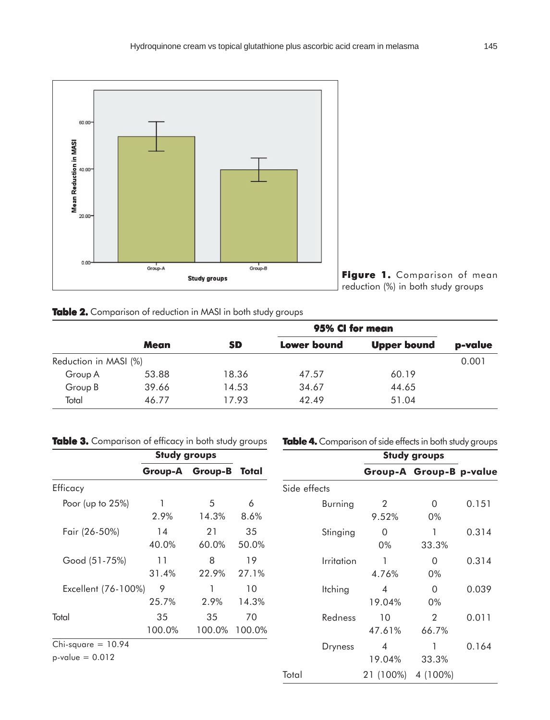

**Figure 1. Figure**  Comparison of mean reduction (%) in both study groups

| Table 2. Comparison of reduction in MASI in both study groups |  |  |  |  |
|---------------------------------------------------------------|--|--|--|--|
|---------------------------------------------------------------|--|--|--|--|

|                       |             | 95% CI for mean |                                          |       |         |  |
|-----------------------|-------------|-----------------|------------------------------------------|-------|---------|--|
|                       | <b>Mean</b> | <b>SD</b>       | <b>Upper bound</b><br><b>Lower bound</b> |       | p-value |  |
| Reduction in MASI (%) |             |                 |                                          |       | 0.001   |  |
| Group A               | 53.88       | 18.36           | 47.57                                    | 60.19 |         |  |
| Group B               | 39.66       | 14.53           | 34.67                                    | 44.65 |         |  |
| Total                 | 46.77       | 17.93           | 42.49                                    | 51.04 |         |  |

|  |  |  | Table 3. Comparison of efficacy in both study groups |  |  |  |  |  |  |
|--|--|--|------------------------------------------------------|--|--|--|--|--|--|
|--|--|--|------------------------------------------------------|--|--|--|--|--|--|

**Table 4.** Comparison of side effects in both study groups

|                                           | <b>Study groups</b> |              |              |                | <b>Study groups</b>      |                         |       |
|-------------------------------------------|---------------------|--------------|--------------|----------------|--------------------------|-------------------------|-------|
|                                           | Group-A             | Group-B      | Total        |                |                          | Group-A Group-B p-value |       |
| Efficacy                                  |                     |              |              | Side effects   |                          |                         |       |
| Poor (up to $25\%$ )                      | 2.9%                | 5<br>14.3%   | 6<br>8.6%    | <b>Burning</b> | 2<br>9.52%               | 0<br>0%                 | 0.151 |
| Fair (26-50%)                             | 14<br>40.0%         | 21<br>60.0%  | 35<br>50.0%  | Stinging       | $\Omega$<br>0%           | 33.3%                   | 0.314 |
| Good (51-75%)                             | 11<br>31.4%         | 8<br>22.9%   | 19<br>27.1%  | Irritation     | 4.76%                    | $\overline{0}$<br>0%    | 0.314 |
| Excellent (76-100%)                       | 9<br>25.7%          | 2.9%         | 10<br>14.3%  | Itching        | $\overline{4}$<br>19.04% | 0<br>0%                 | 0.039 |
| Total                                     | 35<br>100.0%        | 35<br>100.0% | 70<br>100.0% | Redness        | 10<br>47.61%             | 2<br>66.7%              | 0.011 |
| $Chi-square = 10.94$<br>$p-value = 0.012$ |                     |              |              | <b>Dryness</b> | $\overline{4}$<br>19.04% | 33.3%                   | 0.164 |
|                                           |                     |              |              | Total          | 21 (100%)                | 4 (100%)                |       |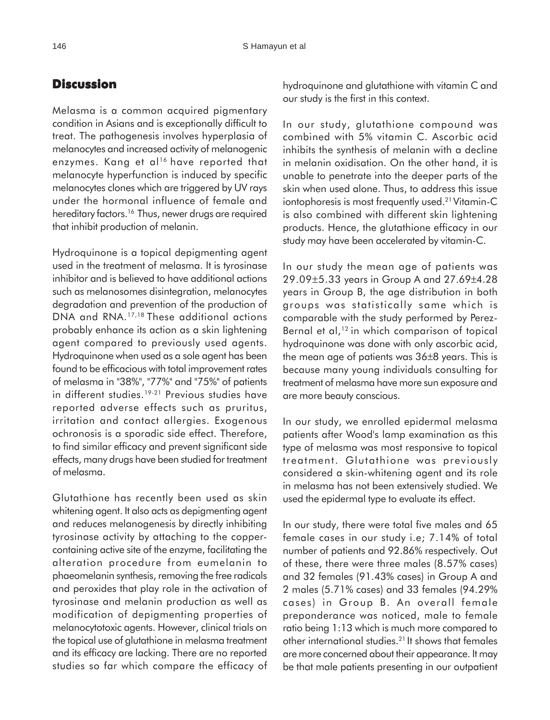## **Discussion**

Melasma is a common acquired pigmentary condition in Asians and is exceptionally difficult to treat. The pathogenesis involves hyperplasia of melanocytes and increased activity of melanogenic enzymes. Kang et al<sup>16</sup> have reported that melanocyte hyperfunction is induced by specific melanocytes clones which are triggered by UV rays under the hormonal influence of female and hereditary factors.<sup>16</sup> Thus, newer drugs are required that inhibit production of melanin.

Hydroquinone is a topical depigmenting agent used in the treatment of melasma. It is tyrosinase inhibitor and is believed to have additional actions such as melanosomes disintegration, melanocytes degradation and prevention of the production of DNA and RNA.17,18 These additional actions probably enhance its action as a skin lightening agent compared to previously used agents. Hydroquinone when used as a sole agent has been found to be efficacious with total improvement rates of melasma in "38%", "77%" and "75%" of patients in different studies.<sup>19-21</sup> Previous studies have reported adverse effects such as pruritus, irritation and contact allergies. Exogenous ochronosis is a sporadic side effect. Therefore, to find similar efficacy and prevent significant side effects, many drugs have been studied for treatment of melasma.

Glutathione has recently been used as skin whitening agent. It also acts as depigmenting agent and reduces melanogenesis by directly inhibiting tyrosinase activity by attaching to the coppercontaining active site of the enzyme, facilitating the alteration procedure from eumelanin to phaeomelanin synthesis, removing the free radicals and peroxides that play role in the activation of tyrosinase and melanin production as well as modification of depigmenting properties of melanocytotoxic agents. However, clinical trials on the topical use of glutathione in melasma treatment and its efficacy are lacking. There are no reported studies so far which compare the efficacy of hydroquinone and glutathione with vitamin C and our study is the first in this context.

In our study, glutathione compound was combined with 5% vitamin C. Ascorbic acid inhibits the synthesis of melanin with a decline in melanin oxidisation. On the other hand, it is unable to penetrate into the deeper parts of the skin when used alone. Thus, to address this issue iontophoresis is most frequently used.<sup>21</sup> Vitamin-C is also combined with different skin lightening products. Hence, the glutathione efficacy in our study may have been accelerated by vitamin-C.

In our study the mean age of patients was 29.09±5.33 years in Group A and 27.69±4.28 years in Group B, the age distribution in both groups was statistically same which is comparable with the study performed by Perez-Bernal et al, $12$  in which comparison of topical hydroquinone was done with only ascorbic acid, the mean age of patients was 36±8 years. This is because many young individuals consulting for treatment of melasma have more sun exposure and are more beauty conscious.

In our study, we enrolled epidermal melasma patients after Wood's lamp examination as this type of melasma was most responsive to topical treatment. Glutathione was previously considered a skin-whitening agent and its role in melasma has not been extensively studied. We used the epidermal type to evaluate its effect.

In our study, there were total five males and 65 female cases in our study i.e; 7.14% of total number of patients and 92.86% respectively. Out of these, there were three males (8.57% cases) and 32 females (91.43% cases) in Group A and 2 males (5.71% cases) and 33 females (94.29% cases) in Group B. An overall female preponderance was noticed, male to female ratio being 1:13 which is much more compared to other international studies.21 It shows that females are more concerned about their appearance. It may be that male patients presenting in our outpatient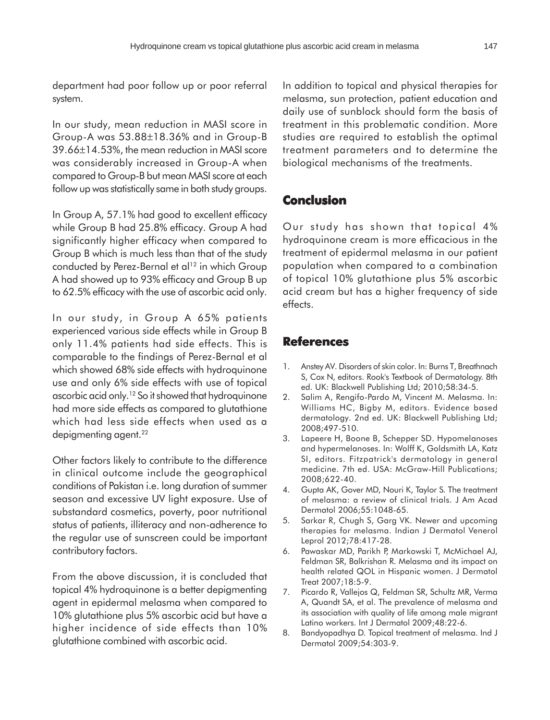department had poor follow up or poor referral system.

In our study, mean reduction in MASI score in Group-A was 53.88±18.36% and in Group-B 39.66±14.53%, the mean reduction in MASI score was considerably increased in Group-A when compared to Group-B but mean MASI score at each follow up was statistically same in both study groups.

In Group A, 57.1% had good to excellent efficacy while Group B had 25.8% efficacy. Group A had significantly higher efficacy when compared to Group B which is much less than that of the study conducted by Perez-Bernal et al<sup>12</sup> in which Group A had showed up to 93% efficacy and Group B up to 62.5% efficacy with the use of ascorbic acid only.

In our study, in Group A 65% patients experienced various side effects while in Group B only 11.4% patients had side effects. This is comparable to the findings of Perez-Bernal et al which showed 68% side effects with hydroquinone use and only 6% side effects with use of topical ascorbic acid only.12 So it showed that hydroquinone had more side effects as compared to glutathione which had less side effects when used as a depigmenting agent.<sup>22</sup>

Other factors likely to contribute to the difference in clinical outcome include the geographical conditions of Pakistan i.e. long duration of summer season and excessive UV light exposure. Use of substandard cosmetics, poverty, poor nutritional status of patients, illiteracy and non-adherence to the regular use of sunscreen could be important contributory factors.

From the above discussion, it is concluded that topical 4% hydroquinone is a better depigmenting agent in epidermal melasma when compared to 10% glutathione plus 5% ascorbic acid but have a higher incidence of side effects than 10% glutathione combined with ascorbic acid.

In addition to topical and physical therapies for melasma, sun protection, patient education and daily use of sunblock should form the basis of treatment in this problematic condition. More studies are required to establish the optimal treatment parameters and to determine the biological mechanisms of the treatments.

## **Conclusion**

Our study has shown that topical 4% hydroquinone cream is more efficacious in the treatment of epidermal melasma in our patient population when compared to a combination of topical 10% glutathione plus 5% ascorbic acid cream but has a higher frequency of side effects.

## **References**

- 1. Anstey AV. Disorders of skin color. In: Burns T, Breathnach S, Cox N, editors. Rook's Textbook of Dermatology. 8th ed. UK: Blackwell Publishing Ltd; 2010;58:34-5.
- 2. Salim A, Rengifo-Pardo M, Vincent M. Melasma. In: Williams HC, Bigby M, editors. Evidence based dermatology. 2nd ed. UK: Blackwell Publishing Ltd; 2008;497-510.
- 3. Lapeere H, Boone B, Schepper SD. Hypomelanoses and hypermelanoses. In: Wolff K, Goldsmith LA, Katz SI, editors. Fitzpatrick's dermatology in general medicine. 7th ed. USA: McGraw-Hill Publications; 2008;622-40.
- 4. Gupta AK, Gover MD, Nouri K, Taylor S. The treatment of melasma: a review of clinical trials. J Am Acad Dermatol 2006;55:1048-65.
- 5. Sarkar R, Chugh S, Garg VK. Newer and upcoming therapies for melasma. Indian J Dermatol Venerol Leprol 2012;78:417-28.
- 6. Pawaskar MD, Parikh P, Markowski T, McMichael AJ, Feldman SR, Balkrishan R. Melasma and its impact on health related QOL in Hispanic women. J Dermatol Treat 2007;18:5-9.
- 7. Picardo R, Vallejos Q, Feldman SR, Schultz MR, Verma A, Quandt SA, et al. The prevalence of melasma and its association with quality of life among male migrant Latino workers. Int J Dermatol 2009;48:22-6.
- 8. Bandyopadhya D. Topical treatment of melasma. Ind J Dermatol 2009;54:303-9.